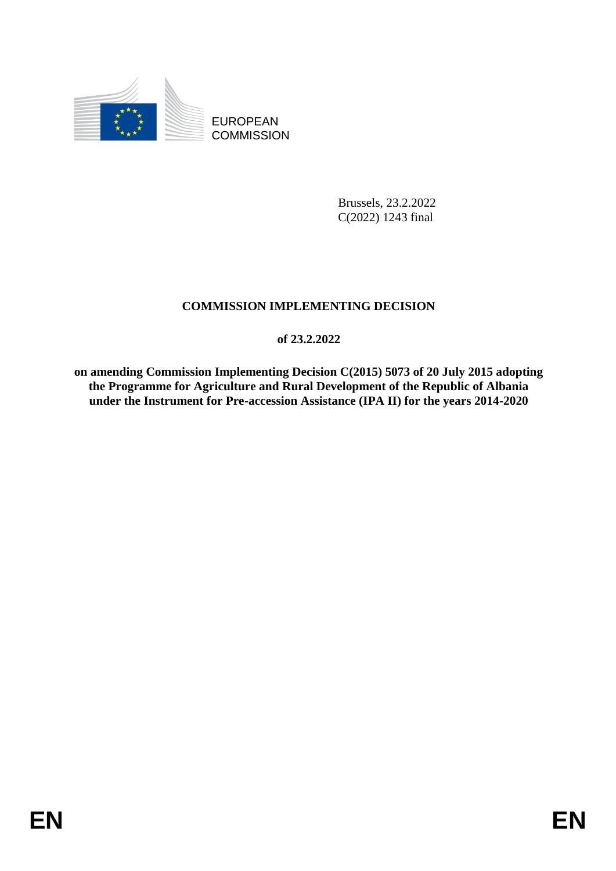

EUROPEAN **COMMISSION** 

> Brussels, 23.2.2022 C(2022) 1243 final

# **COMMISSION IMPLEMENTING DECISION**

**of 23.2.2022**

**on amending Commission Implementing Decision C(2015) 5073 of 20 July 2015 adopting the Programme for Agriculture and Rural Development of the Republic of Albania under the Instrument for Pre-accession Assistance (IPA II) for the years 2014-2020**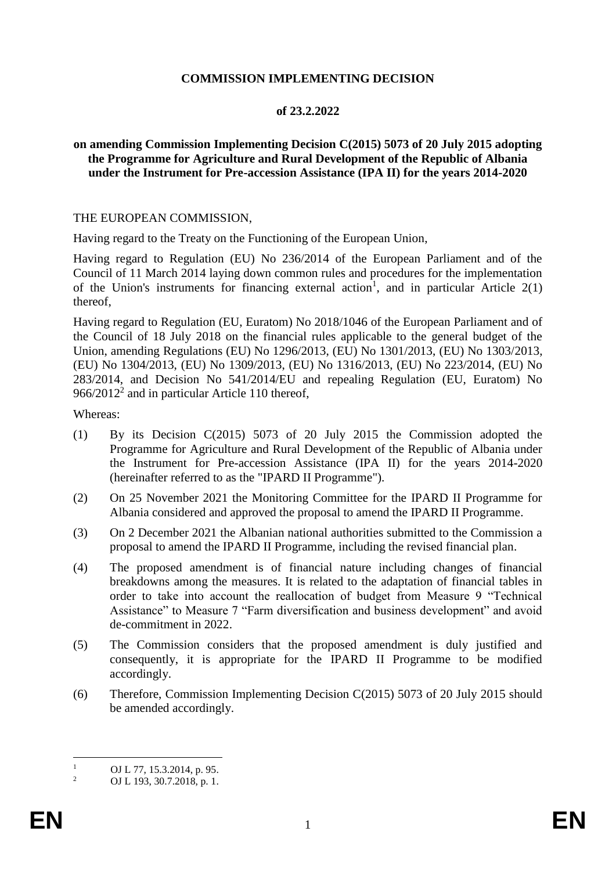## **COMMISSION IMPLEMENTING DECISION**

## **of 23.2.2022**

### **on amending Commission Implementing Decision C(2015) 5073 of 20 July 2015 adopting the Programme for Agriculture and Rural Development of the Republic of Albania under the Instrument for Pre-accession Assistance (IPA II) for the years 2014-2020**

#### THE EUROPEAN COMMISSION,

Having regard to the Treaty on the Functioning of the European Union,

Having regard to Regulation (EU) No 236/2014 of the European Parliament and of the Council of 11 March 2014 laying down common rules and procedures for the implementation of the Union's instruments for financing external action<sup>1</sup>, and in particular Article  $2(1)$ thereof,

Having regard to Regulation (EU, Euratom) No 2018/1046 of the European Parliament and of the Council of 18 July 2018 on the financial rules applicable to the general budget of the Union, amending Regulations (EU) No 1296/2013, (EU) No 1301/2013, (EU) No 1303/2013, (EU) No 1304/2013, (EU) No 1309/2013, (EU) No 1316/2013, (EU) No 223/2014, (EU) No 283/2014, and Decision No 541/2014/EU and repealing Regulation (EU, Euratom) No  $966/2012<sup>2</sup>$  and in particular Article 110 thereof,

Whereas:

- (1) By its Decision C(2015) 5073 of 20 July 2015 the Commission adopted the Programme for Agriculture and Rural Development of the Republic of Albania under the Instrument for Pre-accession Assistance (IPA II) for the years 2014-2020 (hereinafter referred to as the "IPARD II Programme").
- (2) On 25 November 2021 the Monitoring Committee for the IPARD II Programme for Albania considered and approved the proposal to amend the IPARD II Programme.
- (3) On 2 December 2021 the Albanian national authorities submitted to the Commission a proposal to amend the IPARD II Programme, including the revised financial plan.
- (4) The proposed amendment is of financial nature including changes of financial breakdowns among the measures. It is related to the adaptation of financial tables in order to take into account the reallocation of budget from Measure 9 "Technical Assistance" to Measure 7 "Farm diversification and business development" and avoid de-commitment in 2022.
- (5) The Commission considers that the proposed amendment is duly justified and consequently, it is appropriate for the IPARD II Programme to be modified accordingly.
- (6) Therefore, Commission Implementing Decision C(2015) 5073 of 20 July 2015 should be amended accordingly.

 $\mathbf{1}$  $\frac{1}{2}$  OJ L 77, 15.3.2014, p. 95.

<sup>2</sup> OJ L 193, 30.7.2018, p. 1.